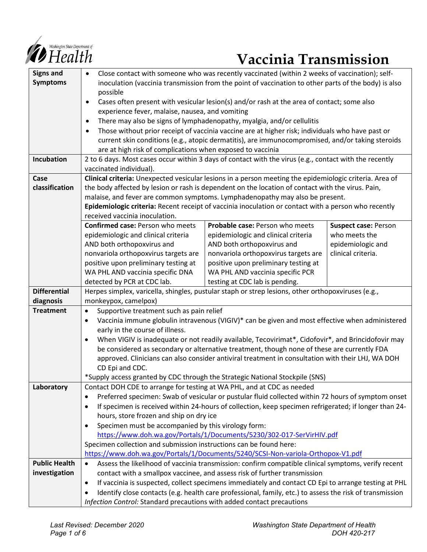

# **Vaccinia Transmission**

| <b>Signs and</b>     | Close contact with someone who was recently vaccinated (within 2 weeks of vaccination); self-<br>$\bullet$            |                                        |                             |
|----------------------|-----------------------------------------------------------------------------------------------------------------------|----------------------------------------|-----------------------------|
| <b>Symptoms</b>      | inoculation (vaccinia transmission from the point of vaccination to other parts of the body) is also                  |                                        |                             |
|                      | possible                                                                                                              |                                        |                             |
|                      | Cases often present with vesicular lesion(s) and/or rash at the area of contact; some also<br>$\bullet$               |                                        |                             |
|                      | experience fever, malaise, nausea, and vomiting                                                                       |                                        |                             |
|                      | There may also be signs of lymphadenopathy, myalgia, and/or cellulitis<br>$\bullet$                                   |                                        |                             |
|                      | Those without prior receipt of vaccinia vaccine are at higher risk; individuals who have past or<br>٠                 |                                        |                             |
|                      | current skin conditions (e.g., atopic dermatitis), are immunocompromised, and/or taking steroids                      |                                        |                             |
|                      | are at high risk of complications when exposed to vaccinia                                                            |                                        |                             |
| <b>Incubation</b>    | 2 to 6 days. Most cases occur within 3 days of contact with the virus (e.g., contact with the recently                |                                        |                             |
|                      | vaccinated individual).                                                                                               |                                        |                             |
| Case                 | Clinical criteria: Unexpected vesicular lesions in a person meeting the epidemiologic criteria. Area of               |                                        |                             |
| classification       | the body affected by lesion or rash is dependent on the location of contact with the virus. Pain,                     |                                        |                             |
|                      | malaise, and fever are common symptoms. Lymphadenopathy may also be present.                                          |                                        |                             |
|                      | Epidemiologic criteria: Recent receipt of vaccinia inoculation or contact with a person who recently                  |                                        |                             |
|                      | received vaccinia inoculation.                                                                                        |                                        |                             |
|                      | <b>Confirmed case: Person who meets</b>                                                                               | <b>Probable case: Person who meets</b> | <b>Suspect case: Person</b> |
|                      | epidemiologic and clinical criteria                                                                                   | epidemiologic and clinical criteria    | who meets the               |
|                      | AND both orthopoxvirus and                                                                                            | AND both orthopoxvirus and             | epidemiologic and           |
|                      | nonvariola orthopoxvirus targets are                                                                                  | nonvariola orthopoxvirus targets are   | clinical criteria.          |
|                      | positive upon preliminary testing at                                                                                  | positive upon preliminary testing at   |                             |
|                      | WA PHL AND vaccinia specific DNA                                                                                      | WA PHL AND vaccinia specific PCR       |                             |
|                      | detected by PCR at CDC lab.                                                                                           | testing at CDC lab is pending.         |                             |
| <b>Differential</b>  | Herpes simplex, varicella, shingles, pustular staph or strep lesions, other orthopoxviruses (e.g.,                    |                                        |                             |
| diagnosis            | monkeypox, camelpox)                                                                                                  |                                        |                             |
| <b>Treatment</b>     | Supportive treatment such as pain relief<br>$\bullet$                                                                 |                                        |                             |
|                      | Vaccinia immune globulin intravenous (VIGIV)* can be given and most effective when administered<br>$\bullet$          |                                        |                             |
|                      | early in the course of illness.                                                                                       |                                        |                             |
|                      | When VIGIV is inadequate or not readily available, Tecovirimat*, Cidofovir*, and Brincidofovir may<br>$\bullet$       |                                        |                             |
|                      | be considered as secondary or alternative treatment, though none of these are currently FDA                           |                                        |                             |
|                      | approved. Clinicians can also consider antiviral treatment in consultation with their LHJ, WA DOH                     |                                        |                             |
|                      | CD Epi and CDC.                                                                                                       |                                        |                             |
|                      | *Supply access granted by CDC through the Strategic National Stockpile (SNS)                                          |                                        |                             |
| Laboratory           | Contact DOH CDE to arrange for testing at WA PHL, and at CDC as needed                                                |                                        |                             |
|                      | Preferred specimen: Swab of vesicular or pustular fluid collected within 72 hours of symptom onset<br>٠               |                                        |                             |
|                      | If specimen is received within 24-hours of collection, keep specimen refrigerated; if longer than 24-<br>٠            |                                        |                             |
|                      | hours, store frozen and ship on dry ice                                                                               |                                        |                             |
|                      | Specimen must be accompanied by this virology form:                                                                   |                                        |                             |
|                      | https://www.doh.wa.gov/Portals/1/Documents/5230/302-017-SerVirHIV.pdf                                                 |                                        |                             |
|                      | Specimen collection and submission instructions can be found here:                                                    |                                        |                             |
|                      | https://www.doh.wa.gov/Portals/1/Documents/5240/SCSI-Non-variola-Orthopox-V1.pdf                                      |                                        |                             |
| <b>Public Health</b> | Assess the likelihood of vaccinia transmission: confirm compatible clinical symptoms, verify recent                   |                                        |                             |
| investigation        | contact with a smallpox vaccinee, and assess risk of further transmission                                             |                                        |                             |
|                      | If vaccinia is suspected, collect specimens immediately and contact CD Epi to arrange testing at PHL<br>٠             |                                        |                             |
|                      | Identify close contacts (e.g. health care professional, family, etc.) to assess the risk of transmission<br>$\bullet$ |                                        |                             |
|                      | Infection Control: Standard precautions with added contact precautions                                                |                                        |                             |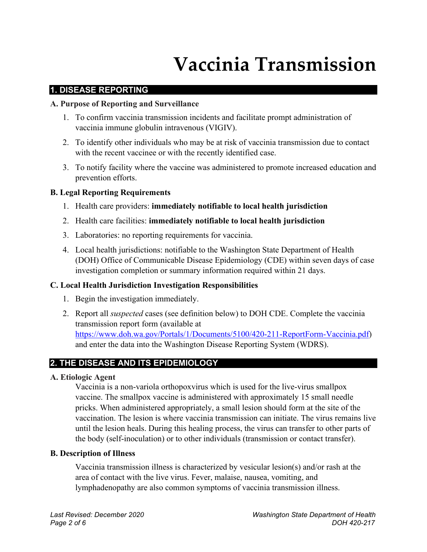## **Vaccinia Transmission**

#### **1. DISEASE REPORTING**

#### **A. Purpose of Reporting and Surveillance**

- 1. To confirm vaccinia transmission incidents and facilitate prompt administration of vaccinia immune globulin intravenous (VIGIV).
- 2. To identify other individuals who may be at risk of vaccinia transmission due to contact with the recent vaccinee or with the recently identified case.
- 3. To notify facility where the vaccine was administered to promote increased education and prevention efforts.

## **B. Legal Reporting Requirements**

- 1. Health care providers: **immediately notifiable to local health jurisdiction**
- 2. Health care facilities: **immediately notifiable to local health jurisdiction**
- 3. Laboratories: no reporting requirements for vaccinia.
- 4. Local health jurisdictions: notifiable to the Washington State Department of Health (DOH) Office of Communicable Disease Epidemiology (CDE) within seven days of case investigation completion or summary information required within 21 days.

## **C. Local Health Jurisdiction Investigation Responsibilities**

- 1. Begin the investigation immediately.
- 2. Report all *suspected* cases (see definition below) to DOH CDE. Complete the vaccinia transmission report form (available at [https://www.doh.wa.gov/Portals/1/Documents/5100/420-211-ReportForm-Vaccinia.pdf\)](https://www.doh.wa.gov/Portals/1/Documents/5100/420-211-ReportForm-Vaccinia.pdf) and enter the data into the Washington Disease Reporting System (WDRS).

## **2. THE DISEASE AND ITS EPIDEMIOLOGY**

## **A. Etiologic Agent**

Vaccinia is a non-variola orthopoxvirus which is used for the live-virus smallpox vaccine. The smallpox vaccine is administered with approximately 15 small needle pricks. When administered appropriately, a small lesion should form at the site of the vaccination. The lesion is where vaccinia transmission can initiate. The virus remains live until the lesion heals. During this healing process, the virus can transfer to other parts of the body (self-inoculation) or to other individuals (transmission or contact transfer).

## **B. Description of Illness**

Vaccinia transmission illness is characterized by vesicular lesion(s) and/or rash at the area of contact with the live virus. Fever, malaise, nausea, vomiting, and lymphadenopathy are also common symptoms of vaccinia transmission illness.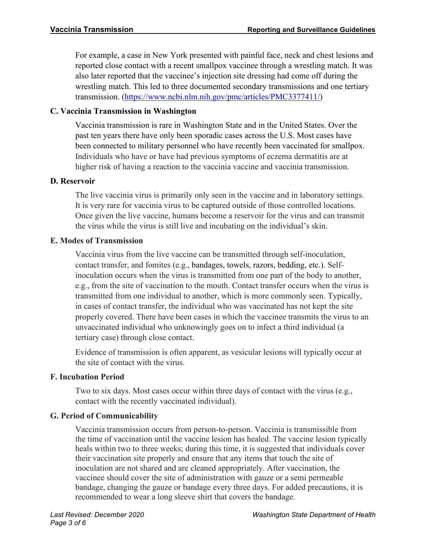For example, a case in New York presented with painful face, neck and chest lesions and reported close contact with a recent smallpox vaccinee through a wrestling match. It was also later reported that the vaccinee's injection site dressing had come off during the wrestling match. This led to three documented secondary transmissions and one tertiary transmission. [\(https://www.ncbi.nlm.nih.gov/pmc/articles/PMC3377411/\)](https://www.ncbi.nlm.nih.gov/pmc/articles/PMC3377411/)

## **C. Vaccinia Transmission in Washington**

Vaccinia transmission is rare in Washington State and in the United States. Over the past ten years there have only been sporadic cases across the U.S. Most cases have been connected to military personnel who have recently been vaccinated for smallpox. Individuals who have or have had previous symptoms of eczema dermatitis are at higher risk of having a reaction to the vaccinia vaccine and vaccinia transmission.

#### **D. Reservoir**

The live vaccinia virus is primarily only seen in the vaccine and in laboratory settings. It is very rare for vaccinia virus to be captured outside of those controlled locations. Once given the live vaccine, humans become a reservoir for the virus and can transmit the virus while the virus is still live and incubating on the individual's skin.

#### **E. Modes of Transmission**

Vaccinia virus from the live vaccine can be transmitted through self-inoculation, contact transfer, and fomites (e.g., bandages, towels, razors, bedding, etc.). Selfinoculation occurs when the virus is transmitted from one part of the body to another, e.g., from the site of vaccination to the mouth. Contact transfer occurs when the virus is transmitted from one individual to another, which is more commonly seen. Typically, in cases of contact transfer, the individual who was vaccinated has not kept the site properly covered. There have been cases in which the vaccinee transmits the virus to an unvaccinated individual who unknowingly goes on to infect a third individual (a tertiary case) through close contact.

Evidence of transmission is often apparent, as vesicular lesions will typically occur at the site of contact with the virus.

## **F. Incubation Period**

Two to six days. Most cases occur within three days of contact with the virus (e.g., contact with the recently vaccinated individual).

## **G. Period of Communicability**

Vaccinia transmission occurs from person-to-person. Vaccinia is transmissible from the time of vaccination until the vaccine lesion has healed. The vaccine lesion typically heals within two to three weeks; during this time, it is suggested that individuals cover their vaccination site properly and ensure that any items that touch the site of inoculation are not shared and are cleaned appropriately. After vaccination, the vaccinee should cover the site of administration with gauze or a semi permeable bandage, changing the gauze or bandage every three days. For added precautions, it is recommended to wear a long sleeve shirt that covers the bandage.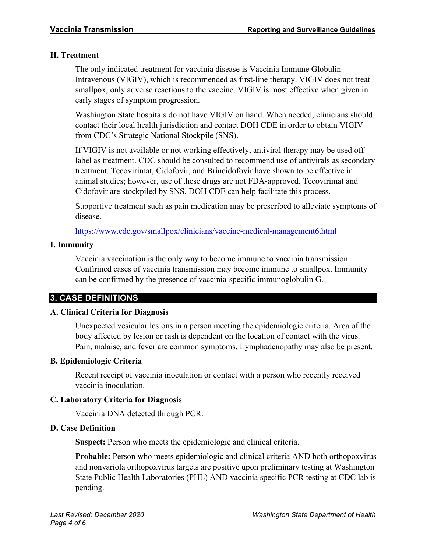## **H. Treatment**

The only indicated treatment for vaccinia disease is Vaccinia Immune Globulin Intravenous (VIGIV), which is recommended as first-line therapy. VIGIV does not treat smallpox, only adverse reactions to the vaccine. VIGIV is most effective when given in early stages of symptom progression.

Washington State hospitals do not have VIGIV on hand. When needed, clinicians should contact their local health jurisdiction and contact DOH CDE in order to obtain VIGIV from CDC's Strategic National Stockpile (SNS).

If VIGIV is not available or not working effectively, antiviral therapy may be used offlabel as treatment. CDC should be consulted to recommend use of antivirals as secondary treatment. Tecovirimat, Cidofovir, and Brincidofovir have shown to be effective in animal studies; however, use of these drugs are not FDA-approved. Tecovirimat and Cidofovir are stockpiled by SNS. DOH CDE can help facilitate this process.

Supportive treatment such as pain medication may be prescribed to alleviate symptoms of disease.

<https://www.cdc.gov/smallpox/clinicians/vaccine-medical-management6.html>

## **I. Immunity**

Vaccinia vaccination is the only way to become immune to vaccinia transmission. Confirmed cases of vaccinia transmission may become immune to smallpox. Immunity can be confirmed by the presence of vaccinia-specific immunoglobulin G.

## **3. CASE DEFINITIONS**

## **A. Clinical Criteria for Diagnosis**

Unexpected vesicular lesions in a person meeting the epidemiologic criteria. Area of the body affected by lesion or rash is dependent on the location of contact with the virus. Pain, malaise, and fever are common symptoms. Lymphadenopathy may also be present.

## **B. Epidemiologic Criteria**

Recent receipt of vaccinia inoculation or contact with a person who recently received vaccinia inoculation.

## **C. Laboratory Criteria for Diagnosis**

Vaccinia DNA detected through PCR.

## **D. Case Definition**

**Suspect:** Person who meets the epidemiologic and clinical criteria.

**Probable:** Person who meets epidemiologic and clinical criteria AND both orthopoxvirus and nonvariola orthopoxvirus targets are positive upon preliminary testing at Washington State Public Health Laboratories (PHL) AND vaccinia specific PCR testing at CDC lab is pending.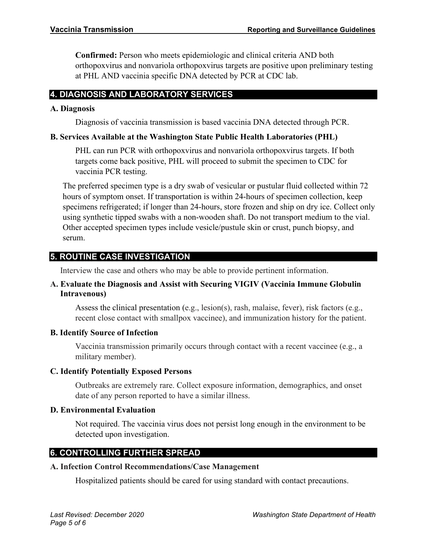**Confirmed:** Person who meets epidemiologic and clinical criteria AND both orthopoxvirus and nonvariola orthopoxvirus targets are positive upon preliminary testing at PHL AND vaccinia specific DNA detected by PCR at CDC lab.

## **4. DIAGNOSIS AND LABORATORY SERVICES**

#### **A. Diagnosis**

Diagnosis of vaccinia transmission is based vaccinia DNA detected through PCR.

## **B. Services Available at the Washington State Public Health Laboratories (PHL)**

PHL can run PCR with orthopoxvirus and nonvariola orthopoxvirus targets. If both targets come back positive, PHL will proceed to submit the specimen to CDC for vaccinia PCR testing.

The preferred specimen type is a dry swab of vesicular or pustular fluid collected within 72 hours of symptom onset. If transportation is within 24-hours of specimen collection, keep specimens refrigerated; if longer than 24-hours, store frozen and ship on dry ice. Collect only using synthetic tipped swabs with a non-wooden shaft. Do not transport medium to the vial. Other accepted specimen types include vesicle/pustule skin or crust, punch biopsy, and serum.

## **5. ROUTINE CASE INVESTIGATION**

Interview the case and others who may be able to provide pertinent information.

## **A. Evaluate the Diagnosis and Assist with Securing VIGIV (Vaccinia Immune Globulin Intravenous)**

Assess the clinical presentation (e.g., lesion(s), rash, malaise, fever), risk factors (e.g., recent close contact with smallpox vaccinee), and immunization history for the patient.

## **B. Identify Source of Infection**

Vaccinia transmission primarily occurs through contact with a recent vaccinee (e.g., a military member).

## **C. Identify Potentially Exposed Persons**

Outbreaks are extremely rare. Collect exposure information, demographics, and onset date of any person reported to have a similar illness.

## **D. Environmental Evaluation**

Not required. The vaccinia virus does not persist long enough in the environment to be detected upon investigation.

## **6. CONTROLLING FURTHER SPREAD**

#### **A. Infection Control Recommendations/Case Management**

Hospitalized patients should be cared for using standard with contact precautions.